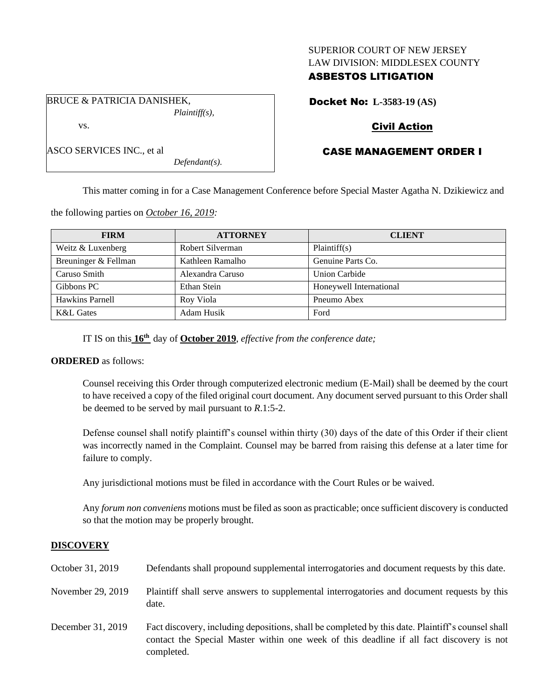## SUPERIOR COURT OF NEW JERSEY LAW DIVISION: MIDDLESEX COUNTY

## ASBESTOS LITIGATION

BRUCE & PATRICIA DANISHEK, *Plaintiff(s),* vs.

ASCO SERVICES INC., et al

Docket No: **L-3583-19 (AS)**

# Civil Action

# CASE MANAGEMENT ORDER I

This matter coming in for a Case Management Conference before Special Master Agatha N. Dzikiewicz and

the following parties on *October 16, 2019:*

| <b>FIRM</b>          | <b>ATTORNEY</b>  | <b>CLIENT</b>           |
|----------------------|------------------|-------------------------|
| Weitz & Luxenberg    | Robert Silverman | Plaintiff(s)            |
| Breuninger & Fellman | Kathleen Ramalho | Genuine Parts Co.       |
| Caruso Smith         | Alexandra Caruso | <b>Union Carbide</b>    |
| Gibbons PC           | Ethan Stein      | Honeywell International |
| Hawkins Parnell      | Roy Viola        | Pneumo Abex             |
| <b>K&amp;L</b> Gates | Adam Husik       | Ford                    |

IT IS on this **16th** day of **October 2019**, *effective from the conference date;*

*Defendant(s).*

## **ORDERED** as follows:

Counsel receiving this Order through computerized electronic medium (E-Mail) shall be deemed by the court to have received a copy of the filed original court document. Any document served pursuant to this Order shall be deemed to be served by mail pursuant to *R*.1:5-2.

Defense counsel shall notify plaintiff's counsel within thirty (30) days of the date of this Order if their client was incorrectly named in the Complaint. Counsel may be barred from raising this defense at a later time for failure to comply.

Any jurisdictional motions must be filed in accordance with the Court Rules or be waived.

Any *forum non conveniens* motions must be filed as soon as practicable; once sufficient discovery is conducted so that the motion may be properly brought.

## **DISCOVERY**

| October 31, 2019  | Defendants shall propound supplemental interrogatories and document requests by this date.                                                                                                                  |
|-------------------|-------------------------------------------------------------------------------------------------------------------------------------------------------------------------------------------------------------|
| November 29, 2019 | Plaintiff shall serve answers to supplemental interrogatories and document requests by this<br>date.                                                                                                        |
| December 31, 2019 | Fact discovery, including depositions, shall be completed by this date. Plaintiff's counsel shall<br>contact the Special Master within one week of this deadline if all fact discovery is not<br>completed. |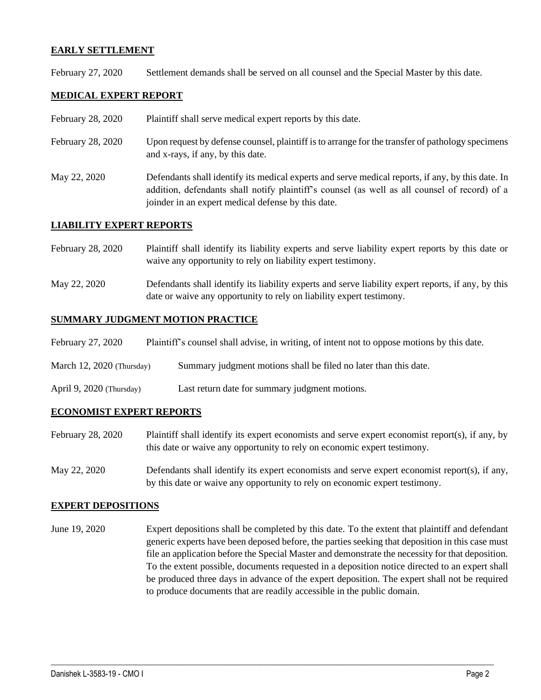## **EARLY SETTLEMENT**

February 27, 2020 Settlement demands shall be served on all counsel and the Special Master by this date.

## **MEDICAL EXPERT REPORT**

- February 28, 2020 Plaint if shall serve medical expert reports by this date.
- February 28, 2020 Upon request by defense counsel, plaintiff is to arrange for the transfer of pathology specimens and x-rays, if any, by this date.
- May 22, 2020 Defendants shall identify its medical experts and serve medical reports, if any, by this date. In addition, defendants shall notify plaintiff's counsel (as well as all counsel of record) of a joinder in an expert medical defense by this date.

### **LIABILITY EXPERT REPORTS**

- February 28, 2020 Plaintiff shall identify its liability experts and serve liability expert reports by this date or waive any opportunity to rely on liability expert testimony.
- May 22, 2020 Defendants shall identify its liability experts and serve liability expert reports, if any, by this date or waive any opportunity to rely on liability expert testimony.

### **SUMMARY JUDGMENT MOTION PRACTICE**

| February 27, 2020           | Plaintiff's counsel shall advise, in writing, of intent not to oppose motions by this date. |
|-----------------------------|---------------------------------------------------------------------------------------------|
| March $12, 2020$ (Thursday) | Summary judgment motions shall be filed no later than this date.                            |
| April 9, 2020 (Thursday)    | Last return date for summary judgment motions.                                              |

### **ECONOMIST EXPERT REPORTS**

- February 28, 2020 Plaintiff shall identify its expert economists and serve expert economist report(s), if any, by this date or waive any opportunity to rely on economic expert testimony.
- May 22, 2020 Defendants shall identify its expert economists and serve expert economist report(s), if any, by this date or waive any opportunity to rely on economic expert testimony.

### **EXPERT DEPOSITIONS**

June 19, 2020 Expert depositions shall be completed by this date. To the extent that plaintiff and defendant generic experts have been deposed before, the parties seeking that deposition in this case must file an application before the Special Master and demonstrate the necessity for that deposition. To the extent possible, documents requested in a deposition notice directed to an expert shall be produced three days in advance of the expert deposition. The expert shall not be required to produce documents that are readily accessible in the public domain.

 $\_$  , and the set of the set of the set of the set of the set of the set of the set of the set of the set of the set of the set of the set of the set of the set of the set of the set of the set of the set of the set of th